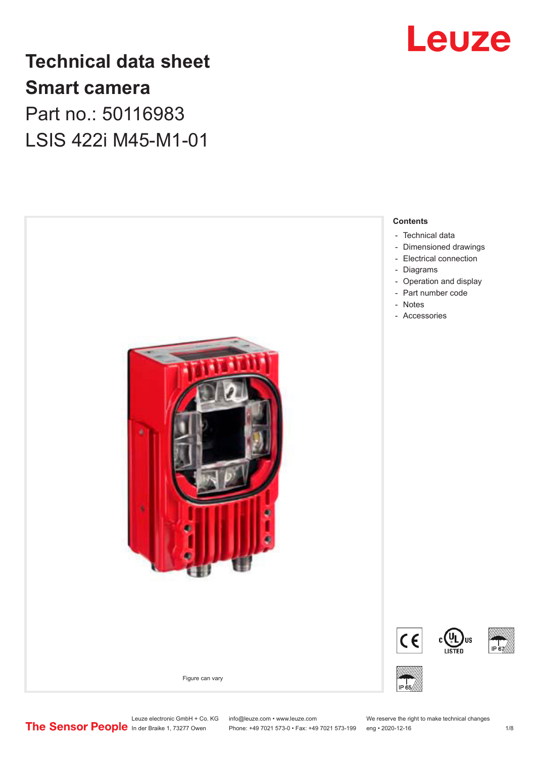

# **Technical data sheet Smart camera** Part no.: 50116983 LSIS 422i M45-M1-01



Leuze electronic GmbH + Co. KG info@leuze.com • www.leuze.com We reserve the right to make technical changes<br>
The Sensor People in der Braike 1, 73277 Owen Phone: +49 7021 573-0 • Fax: +49 7021 573-199 eng • 2020-12-16

Phone: +49 7021 573-0 • Fax: +49 7021 573-199 eng • 2020-12-16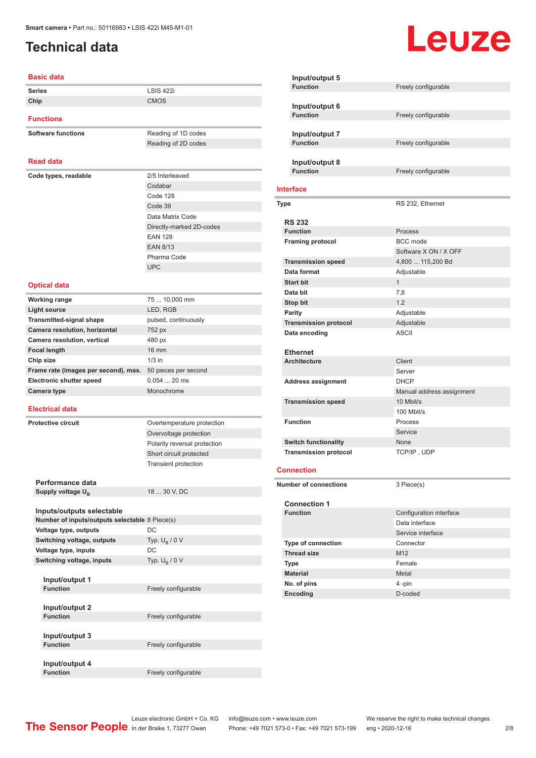## <span id="page-1-0"></span>**Technical data**

#### **Basic data**

| <b>Series</b>                                  | <b>LSIS 422i</b>             |
|------------------------------------------------|------------------------------|
| Chip                                           | <b>CMOS</b>                  |
|                                                |                              |
| <b>Functions</b>                               |                              |
| <b>Software functions</b>                      | Reading of 1D codes          |
|                                                | Reading of 2D codes          |
|                                                |                              |
| <b>Read data</b>                               |                              |
| Code types, readable                           | 2/5 Interleaved              |
|                                                | Codabar                      |
|                                                | Code 128                     |
|                                                | Code 39                      |
|                                                | Data Matrix Code             |
|                                                | Directly-marked 2D-codes     |
|                                                | <b>EAN 128</b>               |
|                                                | <b>EAN 8/13</b>              |
|                                                | Pharma Code                  |
|                                                | <b>UPC</b>                   |
|                                                |                              |
| <b>Optical data</b>                            |                              |
| <b>Working range</b>                           | 75  10,000 mm                |
| <b>Light source</b>                            | LED, RGB                     |
| <b>Transmitted-signal shape</b>                | pulsed, continuously         |
| Camera resolution, horizontal                  | 752 px                       |
| Camera resolution, vertical                    | 480 px                       |
| <b>Focal length</b>                            | <b>16 mm</b>                 |
| Chip size                                      | $1/3$ in                     |
| Frame rate (images per second), max.           | 50 pieces per second         |
| <b>Electronic shutter speed</b>                | $0.05420$ ms                 |
| <b>Camera type</b>                             | Monochrome                   |
|                                                |                              |
| <b>Electrical data</b>                         |                              |
| <b>Protective circuit</b>                      | Overtemperature protection   |
|                                                | Overvoltage protection       |
|                                                | Polarity reversal protection |
|                                                | Short circuit protected      |
|                                                | <b>Transient protection</b>  |
|                                                |                              |
| Performance data                               |                              |
| Supply voltage U <sub>B</sub>                  | 18  30 V, DC                 |
|                                                |                              |
| Inputs/outputs selectable                      |                              |
| Number of inputs/outputs selectable 8 Piece(s) |                              |
| Voltage type, outputs                          | DC                           |
| Switching voltage, outputs                     | Typ. $U_{\rm B}$ / 0 V       |
| Voltage type, inputs                           | DC                           |
| Switching voltage, inputs                      | Typ. $U_B / 0 V$             |
|                                                |                              |
| Input/output 1                                 |                              |
| <b>Function</b>                                | Freely configurable          |
|                                                |                              |
| Input/output 2<br><b>Function</b>              | Freely configurable          |
|                                                |                              |
| Input/output 3                                 |                              |
| <b>Function</b>                                | Freely configurable          |
|                                                |                              |
| Input/output 4                                 |                              |
| <b>Function</b>                                | Freely configurable          |

| Input/output 5                         |                                           |
|----------------------------------------|-------------------------------------------|
| <b>Function</b>                        | Freely configurable                       |
|                                        |                                           |
| Input/output 6                         |                                           |
| <b>Function</b>                        | Freely configurable                       |
| Input/output 7                         |                                           |
| <b>Function</b>                        | Freely configurable                       |
|                                        |                                           |
| Input/output 8                         |                                           |
| <b>Function</b>                        | Freely configurable                       |
|                                        |                                           |
| <b>Interface</b>                       |                                           |
| <b>Type</b>                            | RS 232, Ethernet                          |
|                                        |                                           |
| <b>RS 232</b>                          |                                           |
| <b>Function</b>                        | Process                                   |
| <b>Framing protocol</b>                | <b>BCC</b> mode                           |
|                                        | Software X ON / X OFF                     |
| <b>Transmission speed</b>              | 4,800  115,200 Bd                         |
| Data format                            | Adjustable                                |
| <b>Start bit</b><br>Data bit           | $\mathbf{1}$                              |
|                                        | 7,8                                       |
| Stop bit                               | 1.2                                       |
| Parity                                 | Adjustable                                |
| <b>Transmission protocol</b>           | Adjustable<br><b>ASCII</b>                |
| Data encoding                          |                                           |
| <b>Ethernet</b>                        |                                           |
| <b>Architecture</b>                    | Client                                    |
|                                        | Server                                    |
| <b>Address assignment</b>              | DHCP                                      |
|                                        | Manual address assignment                 |
| <b>Transmission speed</b>              | 10 Mbit/s                                 |
|                                        | 100 Mbit/s                                |
| <b>Function</b>                        | Process                                   |
|                                        | Service                                   |
| <b>Switch functionality</b>            | None                                      |
| <b>Transmission protocol</b>           | TCP/IP, UDP                               |
| <b>Connection</b>                      |                                           |
|                                        |                                           |
| <b>Number of connections</b>           | 3 Piece(s)                                |
|                                        |                                           |
| <b>Connection 1</b><br><b>Function</b> |                                           |
|                                        | Configuration interface<br>Data interface |
|                                        | Service interface                         |
| Type of connection                     | Connector                                 |
| <b>Thread size</b>                     | M12                                       |
| Type                                   | Female                                    |
| <b>Material</b>                        | Metal                                     |
| No. of pins                            | 4 -pin                                    |
| Encoding                               | D-coded                                   |
|                                        |                                           |

**Leuze**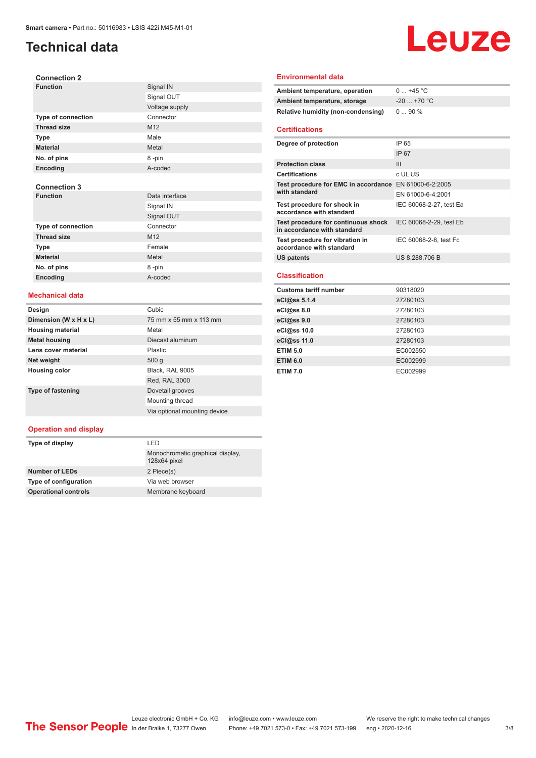## **Technical data**

**Connection 2**

# Leuze

| <b>Function</b>           | Signal IN      |
|---------------------------|----------------|
|                           | Signal OUT     |
|                           | Voltage supply |
| <b>Type of connection</b> | Connector      |
| <b>Thread size</b>        | M12            |
| Type                      | Male           |
| <b>Material</b>           | Metal          |
| No. of pins               | 8-pin          |
| Encoding                  | A-coded        |
|                           |                |
| <b>Connection 3</b>       |                |
| <b>Function</b>           | Data interface |
|                           | Signal IN      |
|                           | Signal OUT     |
| Type of connection        | Connector      |
| <b>Thread size</b>        | M12            |
| Type                      | Female         |
| <b>Material</b>           | Metal          |
| No. of pins               | 8-pin          |
| Encoding                  | A-coded        |

#### **Mechanical data**

| Design                   | Cubic                        |
|--------------------------|------------------------------|
| Dimension (W x H x L)    | 75 mm x 55 mm x 113 mm       |
| <b>Housing material</b>  | Metal                        |
| <b>Metal housing</b>     | Diecast aluminum             |
| Lens cover material      | Plastic                      |
| Net weight               | 500q                         |
| <b>Housing color</b>     | Black, RAL 9005              |
|                          | Red, RAL 3000                |
| <b>Type of fastening</b> | Dovetail grooves             |
|                          | Mounting thread              |
|                          | Via optional mounting device |

#### **Operation and display**

| I FD                                             |
|--------------------------------------------------|
| Monochromatic graphical display,<br>128x64 pixel |
| 2 Piece(s)                                       |
| Via web browser                                  |
| Membrane keyboard                                |
|                                                  |

#### **Environmental data**

| Ambient temperature, operation     | $0+45$ °C    |
|------------------------------------|--------------|
| Ambient temperature, storage       | $-20$ +70 °C |
| Relative humidity (non-condensing) | $090\%$      |

#### **Certifications**

| Degree of protection                                                    | IP 65                   |
|-------------------------------------------------------------------------|-------------------------|
|                                                                         | <b>IP 67</b>            |
| <b>Protection class</b>                                                 | Ш                       |
| <b>Certifications</b>                                                   | c UL US                 |
| Test procedure for EMC in accordance EN 61000-6-2:2005<br>with standard |                         |
|                                                                         | EN 61000-6-4:2001       |
| Test procedure for shock in<br>accordance with standard                 | IEC 60068-2-27, test Ea |
| Test procedure for continuous shock<br>in accordance with standard      | IEC 60068-2-29, test Eb |
| Test procedure for vibration in<br>accordance with standard             | IEC 60068-2-6, test Fc  |
| US patents                                                              | US 8,288,706 B          |
|                                                                         |                         |

#### **Classification**

| <b>Customs tariff number</b> | 90318020 |
|------------------------------|----------|
| eCl@ss 5.1.4                 | 27280103 |
| $eC/\omega$ ss 8.0           | 27280103 |
| eCl@ss 9.0                   | 27280103 |
| eCl@ss 10.0                  | 27280103 |
| eCl@ss 11.0                  | 27280103 |
| <b>ETIM 5.0</b>              | EC002550 |
| <b>ETIM 6.0</b>              | EC002999 |
| <b>ETIM 7.0</b>              | EC002999 |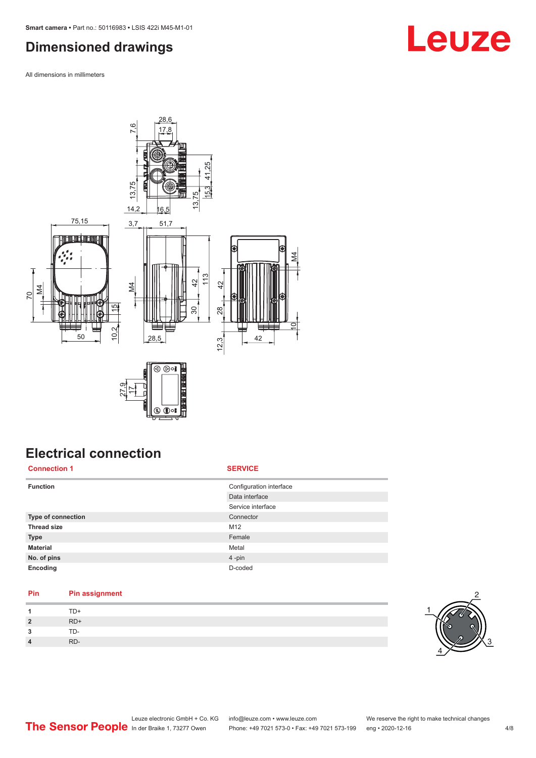## <span id="page-3-0"></span>**Dimensioned drawings**

All dimensions in millimeters



# **Electrical connection**

**Connection 1 SERVICE**

| <b>Function</b>    | Configuration interface |
|--------------------|-------------------------|
|                    | Data interface          |
|                    | Service interface       |
| Type of connection | Connector               |
| <b>Thread size</b> | M12                     |
| <b>Type</b>        | Female                  |
| <b>Material</b>    | Metal                   |
| No. of pins        | 4-pin                   |
| Encoding           | D-coded                 |
|                    |                         |

## **Pin Pin assignment**

| $\overline{1}$ | TD+   |
|----------------|-------|
| $\overline{2}$ | $RD+$ |
| 3              | TD-   |
| $\overline{4}$ | RD-   |



# **Leuze**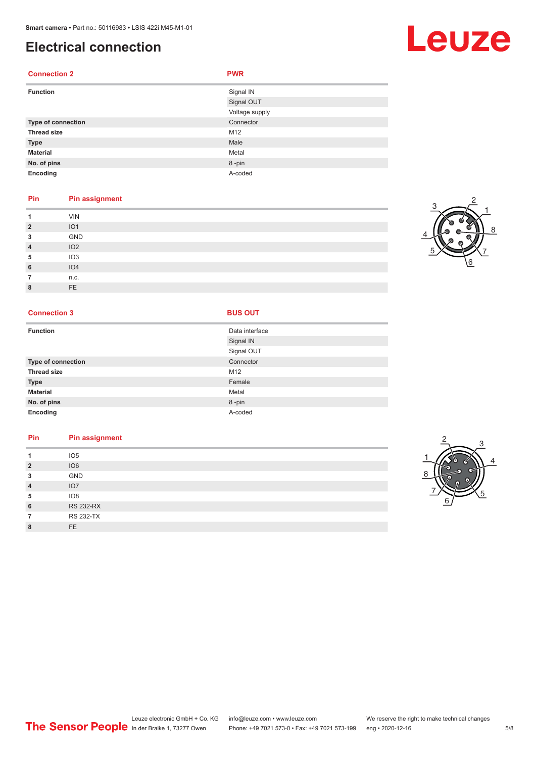## **Electrical connection**

### **Connection 2 PWR**

| <b>Function</b>    | Signal IN<br>Signal OUT<br>Voltage supply |
|--------------------|-------------------------------------------|
| Type of connection | Connector                                 |
| <b>Thread size</b> | M12                                       |
| <b>Type</b>        | Male                                      |
| <b>Material</b>    | Metal                                     |
| No. of pins        | 8-pin                                     |
| Encoding           | A-coded                                   |

#### **Pin Pin assignment**

|         | <b>VIN</b>      |
|---------|-----------------|
| າ       | IO <sub>1</sub> |
| 3       | GND             |
| 4       | IO2             |
| 5       | IO <sub>3</sub> |
| 6       | IO4             |
|         | n.c.            |
| $\circ$ | FE              |

#### **Connection 3 BUS OUT**

| <b>Function</b>           | Data interface |
|---------------------------|----------------|
|                           | Signal IN      |
|                           | Signal OUT     |
| <b>Type of connection</b> | Connector      |
| <b>Thread size</b>        | M12            |
| <b>Type</b>               | Female         |
| <b>Material</b>           | Metal          |
| No. of pins               | 8-pin          |
| Encoding                  | A-coded        |

### **Pin Pin assignment 1** IO5 **2** IO6

|   | <b>IUD</b>       |
|---|------------------|
|   | <b>GND</b>       |
| 4 | IO7              |
| 5 | IO8              |
| 6 | <b>RS 232-RX</b> |
|   | <b>RS 232-TX</b> |
|   | <b>FE</b>        |





# Leuze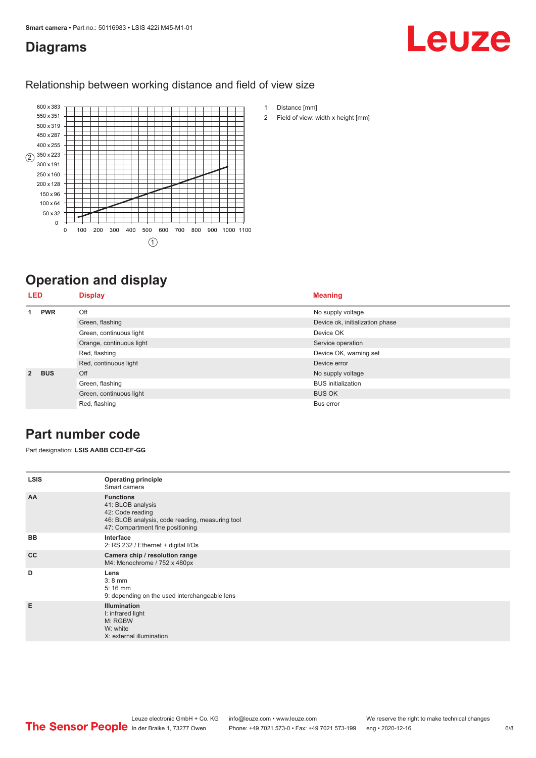## <span id="page-5-0"></span>**Diagrams**

# Leuze

### Relationship between working distance and field of view size



# **Operation and display**

| <b>LED</b>  |                         | <b>Display</b>            | <b>Meaning</b>                  |
|-------------|-------------------------|---------------------------|---------------------------------|
| 1           | <b>PWR</b>              | Off                       | No supply voltage               |
|             |                         | Green, flashing           | Device ok, initialization phase |
|             |                         | Green, continuous light   | Device OK                       |
|             |                         | Orange, continuous light  | Service operation               |
|             |                         | Red, flashing             | Device OK, warning set          |
|             |                         | Red, continuous light     | Device error                    |
| $2^{\circ}$ | <b>BUS</b>              | Off                       | No supply voltage               |
|             | Green, flashing         | <b>BUS</b> initialization |                                 |
|             | Green, continuous light | <b>BUS OK</b>             |                                 |
|             |                         | Red, flashing             | Bus error                       |

## **Part number code**

Part designation: **LSIS AABB CCD-EF-GG**

| <b>LSIS</b> | <b>Operating principle</b><br>Smart camera                                                                                                       |
|-------------|--------------------------------------------------------------------------------------------------------------------------------------------------|
| AA          | <b>Functions</b><br>41: BLOB analysis<br>42: Code reading<br>46: BLOB analysis, code reading, measuring tool<br>47: Compartment fine positioning |
| <b>BB</b>   | Interface<br>2: RS 232 / Ethernet + digital I/Os                                                                                                 |
| cc          | Camera chip / resolution range<br>M4: Monochrome / 752 x 480px                                                                                   |
| D           | Lens<br>$3:8$ mm<br>$5:16$ mm<br>9: depending on the used interchangeable lens                                                                   |
| E           | <b>Illumination</b><br>I: infrared light<br>M: RGBW<br>W: white<br>X: external illumination                                                      |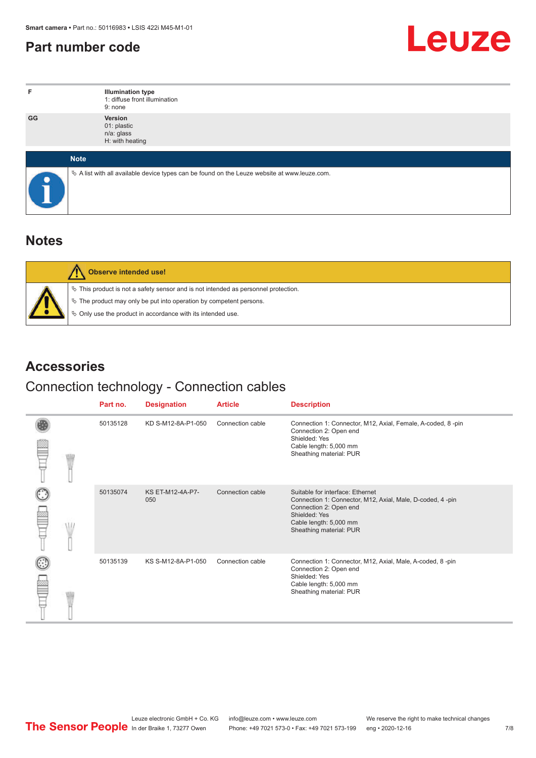## <span id="page-6-0"></span>**Part number code**



| F         | <b>Illumination type</b><br>1: diffuse front illumination<br>9: none                            |
|-----------|-------------------------------------------------------------------------------------------------|
| GG        | Version<br>01: plastic<br>n/a: glass<br>H: with heating                                         |
|           | <b>Note</b>                                                                                     |
| $\bullet$ | $\&$ A list with all available device types can be found on the Leuze website at www.leuze.com. |

## **Notes**

| <b>Observe intended use!</b>                                                          |
|---------------------------------------------------------------------------------------|
| $\%$ This product is not a safety sensor and is not intended as personnel protection. |
| $\%$ The product may only be put into operation by competent persons.                 |
| § Only use the product in accordance with its intended use.                           |

## **Accessories**

## Connection technology - Connection cables

|  | Part no. | <b>Designation</b>      | <b>Article</b>   | <b>Description</b>                                                                                                                                                                            |
|--|----------|-------------------------|------------------|-----------------------------------------------------------------------------------------------------------------------------------------------------------------------------------------------|
|  | 50135128 | KD S-M12-8A-P1-050      | Connection cable | Connection 1: Connector, M12, Axial, Female, A-coded, 8-pin<br>Connection 2: Open end<br>Shielded: Yes<br>Cable length: 5,000 mm<br>Sheathing material: PUR                                   |
|  | 50135074 | KS ET-M12-4A-P7-<br>050 | Connection cable | Suitable for interface: Ethernet<br>Connection 1: Connector, M12, Axial, Male, D-coded, 4-pin<br>Connection 2: Open end<br>Shielded: Yes<br>Cable length: 5,000 mm<br>Sheathing material: PUR |
|  | 50135139 | KS S-M12-8A-P1-050      | Connection cable | Connection 1: Connector, M12, Axial, Male, A-coded, 8-pin<br>Connection 2: Open end<br>Shielded: Yes<br>Cable length: 5,000 mm<br>Sheathing material: PUR                                     |